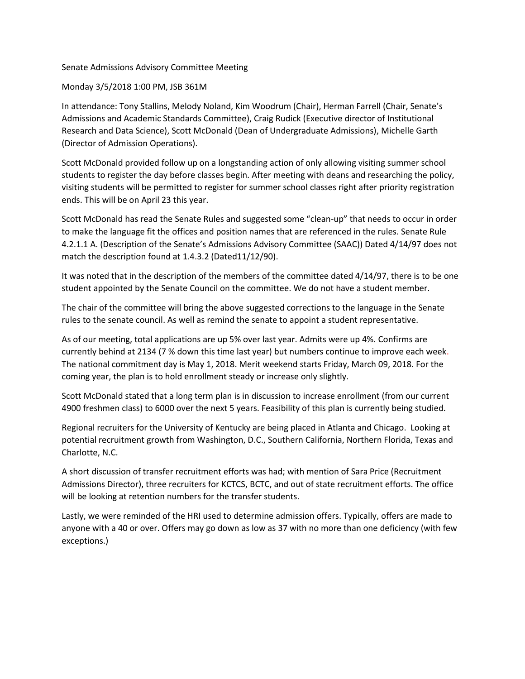# Senate Admissions Advisory Committee Meeting

Monday 3/5/2018 1:00 PM, JSB 361M

In attendance: Tony Stallins, Melody Noland, Kim Woodrum (Chair), Herman Farrell (Chair, Senate's Admissions and Academic Standards Committee), Craig Rudick (Executive director of Institutional Research and Data Science), Scott McDonald (Dean of Undergraduate Admissions), Michelle Garth (Director of Admission Operations).

Scott McDonald provided follow up on a longstanding action of only allowing visiting summer school students to register the day before classes begin. After meeting with deans and researching the policy, visiting students will be permitted to register for summer school classes right after priority registration ends. This will be on April 23 this year.

Scott McDonald has read the Senate Rules and suggested some "clean-up" that needs to occur in order to make the language fit the offices and position names that are referenced in the rules. Senate Rule 4.2.1.1 A. (Description of the Senate's Admissions Advisory Committee (SAAC)) Dated 4/14/97 does not match the description found at 1.4.3.2 (Dated11/12/90).

It was noted that in the description of the members of the committee dated 4/14/97, there is to be one student appointed by the Senate Council on the committee. We do not have a student member.

The chair of the committee will bring the above suggested corrections to the language in the Senate rules to the senate council. As well as remind the senate to appoint a student representative.

As of our meeting, total applications are up 5% over last year. Admits were up 4%. Confirms are currently behind at 2134 (7 % down this time last year) but numbers continue to improve each week. The national commitment day is May 1, 2018. Merit weekend starts Friday, March 09, 2018. For the coming year, the plan is to hold enrollment steady or increase only slightly.

Scott McDonald stated that a long term plan is in discussion to increase enrollment (from our current 4900 freshmen class) to 6000 over the next 5 years. Feasibility of this plan is currently being studied.

Regional recruiters for the University of Kentucky are being placed in Atlanta and Chicago. Looking at potential recruitment growth from Washington, D.C., Southern California, Northern Florida, Texas and Charlotte, N.C.

A short discussion of transfer recruitment efforts was had; with mention of Sara Price (Recruitment Admissions Director), three recruiters for KCTCS, BCTC, and out of state recruitment efforts. The office will be looking at retention numbers for the transfer students.

Lastly, we were reminded of the HRI used to determine admission offers. Typically, offers are made to anyone with a 40 or over. Offers may go down as low as 37 with no more than one deficiency (with few exceptions.)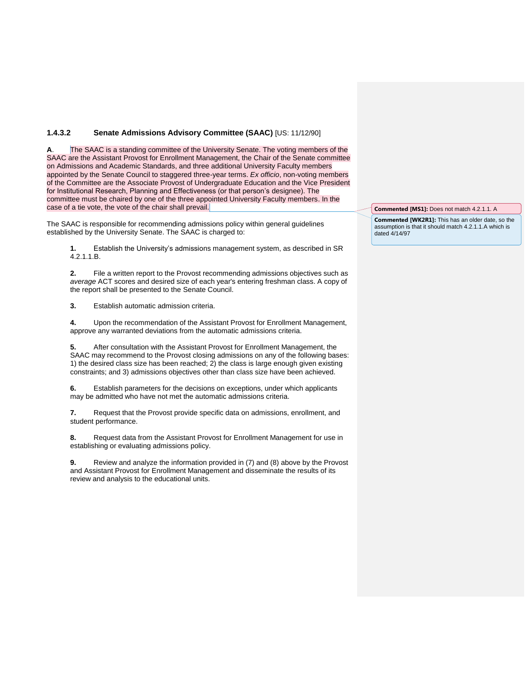## **1.4.3.2 Senate Admissions Advisory Committee (SAAC)** [US: 11/12/90]

**A**. The SAAC is a standing committee of the University Senate. The voting members of the SAAC are the Assistant Provost for Enrollment Management, the Chair of the Senate committee on Admissions and Academic Standards, and three additional University Faculty members appointed by the Senate Council to staggered three-year terms. *Ex officio*, non-voting members of the Committee are the Associate Provost of Undergraduate Education and the Vice President for Institutional Research, Planning and Effectiveness (or that person's designee). The committee must be chaired by one of the three appointed University Faculty members. In the case of a tie vote, the vote of the chair shall prevail.

The SAAC is responsible for recommending admissions policy within general guidelines established by the University Senate. The SAAC is charged to:

**1.** Establish the University's admissions management system, as described in SR 4.2.1.1.B.

**2.** File a written report to the Provost recommending admissions objectives such as *average* ACT scores and desired size of each year's entering freshman class. A copy of the report shall be presented to the Senate Council.

**3.** Establish automatic admission criteria.

**4.** Upon the recommendation of the Assistant Provost for Enrollment Management, approve any warranted deviations from the automatic admissions criteria.

**5.** After consultation with the Assistant Provost for Enrollment Management, the SAAC may recommend to the Provost closing admissions on any of the following bases: 1) the desired class size has been reached; 2) the class is large enough given existing constraints; and 3) admissions objectives other than class size have been achieved.

**6.** Establish parameters for the decisions on exceptions, under which applicants may be admitted who have not met the automatic admissions criteria.

**7.** Request that the Provost provide specific data on admissions, enrollment, and student performance.

**8.** Request data from the Assistant Provost for Enrollment Management for use in establishing or evaluating admissions policy.

**9.** Review and analyze the information provided in (7) and (8) above by the Provost and Assistant Provost for Enrollment Management and disseminate the results of its review and analysis to the educational units.

**Commented [MS1]:** Does not match 4.2.1.1. A

**Commented [WK2R1]:** This has an older date, so the assumption is that it should match 4.2.1.1.A which is dated 4/14/97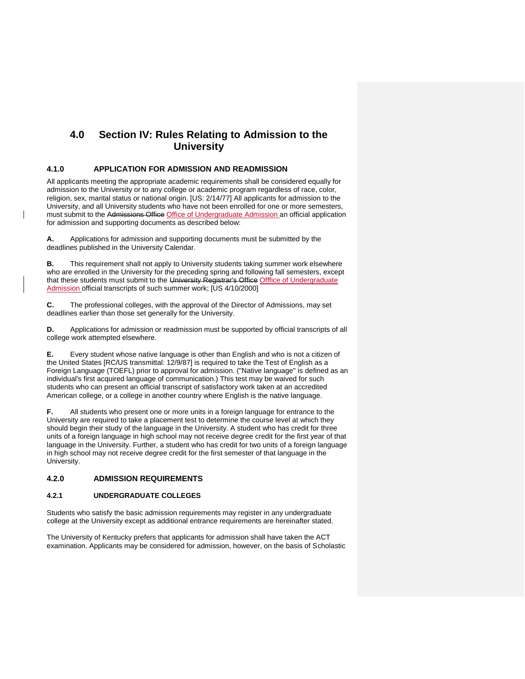# **4.0 Section IV: Rules Relating to Admission to the University**

## **4.1.0 APPLICATION FOR ADMISSION AND READMISSION**

All applicants meeting the appropriate academic requirements shall be considered equally for admission to the University or to any college or academic program regardless of race, color, religion, sex, marital status or national origin. [US: 2/14/77] All applicants for admission to the University, and all University students who have not been enrolled for one or more semesters, must submit to the Admissions Office Office of Undergraduate Admission an official application for admission and supporting documents as described below:

**A.** Applications for admission and supporting documents must be submitted by the deadlines published in the University Calendar.

**B.** This requirement shall not apply to University students taking summer work elsewhere who are enrolled in the University for the preceding spring and following fall semesters, except that these students must submit to the University Registrar's Office Offfice of Undergraduate Admission official transcripts of such summer work; [US 4/10/2000]

**C.** The professional colleges, with the approval of the Director of Admissions, may set deadlines earlier than those set generally for the University.

**D.** Applications for admission or readmission must be supported by official transcripts of all college work attempted elsewhere.

**E.** Every student whose native language is other than English and who is not a citizen of the United States [RC/US transmittal: 12/9/87] is required to take the Test of English as a Foreign Language (TOEFL) prior to approval for admission. ("Native language" is defined as an individual's first acquired language of communication.) This test may be waived for such students who can present an official transcript of satisfactory work taken at an accredited American college, or a college in another country where English is the native language.

**F.** All students who present one or more units in a foreign language for entrance to the University are required to take a placement test to determine the course level at which they should begin their study of the language in the University. A student who has credit for three units of a foreign language in high school may not receive degree credit for the first year of that language in the University. Further, a student who has credit for two units of a foreign language in high school may not receive degree credit for the first semester of that language in the University.

## **4.2.0 ADMISSION REQUIREMENTS**

## **4.2.1 UNDERGRADUATE COLLEGES**

Students who satisfy the basic admission requirements may register in any undergraduate college at the University except as additional entrance requirements are hereinafter stated.

The University of Kentucky prefers that applicants for admission shall have taken the ACT examination. Applicants may be considered for admission, however, on the basis of Scholastic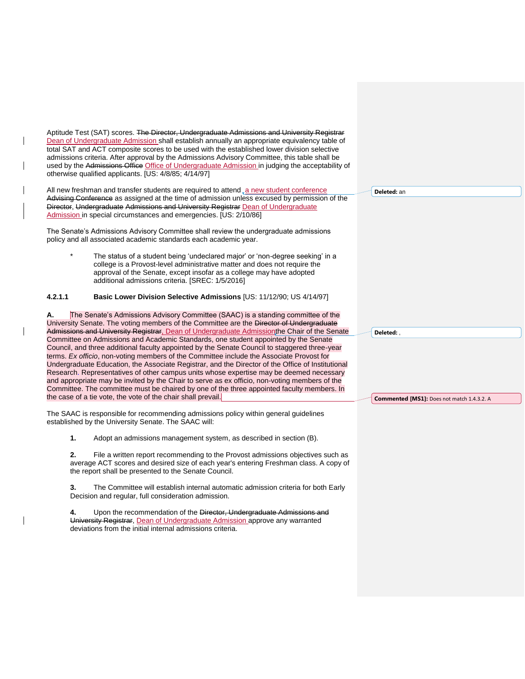Aptitude Test (SAT) scores. The Director, Undergraduate Admissions and University Registrar Dean of Undergraduate Admission shall establish annually an appropriate equivalency table of total SAT and ACT composite scores to be used with the established lower division selective admissions criteria. After approval by the Admissions Advisory Committee, this table shall be used by the Admissions Office Office of Undergraduate Admission in judging the acceptability of otherwise qualified applicants. [US: 4/8/85; 4/14/97] All new freshman and transfer students are required to attend a new student conference Advising Conference as assigned at the time of admission unless excused by permission of the Director, Undergraduate Admissions and University Registrar Dean of Undergraduate Admission in special circumstances and emergencies. [US: 2/10/86] The Senate's Admissions Advisory Committee shall review the undergraduate admissions policy and all associated academic standards each academic year. The status of a student being 'undeclared major' or 'non-degree seeking' in a college is a Provost-level administrative matter and does not require the approval of the Senate, except insofar as a college may have adopted additional admissions criteria. [SREC: 1/5/2016] **4.2.1.1 Basic Lower Division Selective Admissions** [US: 11/12/90; US 4/14/97] **A.** The Senate's Admissions Advisory Committee (SAAC) is a standing committee of the University Senate. The voting members of the Committee are the Director of Undergraduate Admissions and University Registrar, Dean of Undergraduate Admissionthe Chair of the Senate Committee on Admissions and Academic Standards, one student appointed by the Senate Council, and three additional faculty appointed by the Senate Council to staggered three-year terms. *Ex officio*, non-voting members of the Committee include the Associate Provost for Undergraduate Education, the Associate Registrar, and the Director of the Office of Institutional Research. Representatives of other campus units whose expertise may be deemed necessary and appropriate may be invited by the Chair to serve as ex officio, non-voting members of the Committee. The committee must be chaired by one of the three appointed faculty members. In the case of a tie vote, the vote of the chair shall prevail. The SAAC is responsible for recommending admissions policy within general guidelines established by the University Senate. The SAAC will: **1.** Adopt an admissions management system, as described in section (B). **2.** File a written report recommending to the Provost admissions objectives such as average ACT scores and desired size of each year's entering Freshman class. A copy of the report shall be presented to the Senate Council. **3.** The Committee will establish internal automatic admission criteria for both Early Decision and regular, full consideration admission. **4.** Upon the recommendation of the Director, Undergraduate Admissions and University Registrar, Dean of Undergraduate Admission approve any warranted deviations from the initial internal admissions criteria. **Deleted:** an **Deleted:** , **Commented [MS1]:** Does not match 1.4.3.2. A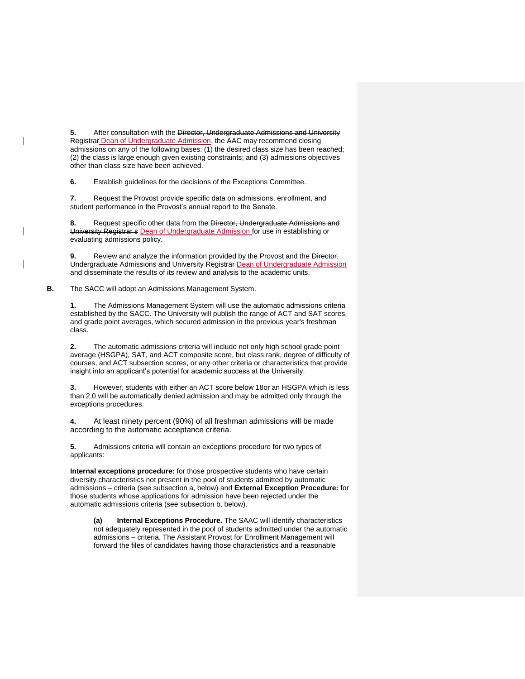**5.** After consultation with the Director, Undergraduate Admissions and University Registrar-Dean of Undergraduate Admission, the AAC may recommend closing admissions on any of the following bases: (1) the desired class size has been reached; (2) the class is large enough given existing constraints; and (3) admissions objectives other than class size have been achieved.

**6.** Establish guidelines for the decisions of the Exceptions Committee.

**7.** Request the Provost provide specific data on admissions, enrollment, and student performance in the Provost's annual report to the Senate.

**8.** Request specific other data from the Director, Undergraduate Admissions and University Registrar s Dean of Undergraduate Admission for use in establishing or evaluating admissions policy.

**9.** Review and analyze the information provided by the Provost and the Director, Undergraduate Admissions and University Registrar Dean of Undergraduate Admission and disseminate the results of its review and analysis to the academic units.

**B.** The SACC will adopt an Admissions Management System.

**1.** The Admissions Management System will use the automatic admissions criteria established by the SACC. The University will publish the range of ACT and SAT scores, and grade point averages, which secured admission in the previous year's freshman class.

**2.** The automatic admissions criteria will include not only high school grade point average (HSGPA), SAT, and ACT composite score, but class rank, degree of difficulty of courses, and ACT subsection scores, or any other criteria or characteristics that provide insight into an applicant's potential for academic success at the University.

**3.** However, students with either an ACT score below 18or an HSGPA which is less than 2.0 will be automatically denied admission and may be admitted only through the exceptions procedures.

**4.** At least ninety percent (90%) of all freshman admissions will be made according to the automatic acceptance criteria.

**5.** Admissions criteria will contain an exceptions procedure for two types of applicants:

**Internal exceptions procedure:** for those prospective students who have certain diversity characteristics not present in the pool of students admitted by automatic admissions – criteria (see subsection a, below) and **External Exception Procedure:** for those students whose applications for admission have been rejected under the automatic admissions criteria (see subsection b, below).

**(a) Internal Exceptions Procedure.** The SAAC will identify characteristics not adequately represented in the pool of students admitted under the automatic admissions – criteria. The Assistant Provost for Enrollment Management will forward the files of candidates having those characteristics and a reasonable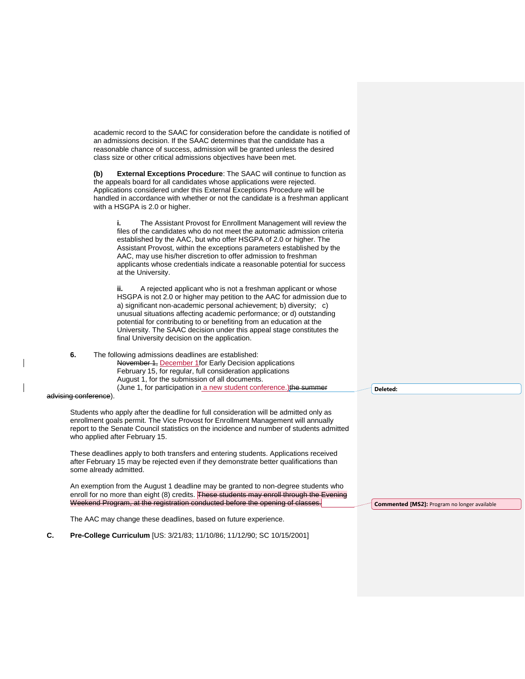| academic record to the SAAC for consideration before the candidate is notified of<br>an admissions decision. If the SAAC determines that the candidate has a<br>reasonable chance of success, admission will be granted unless the desired<br>class size or other critical admissions objectives have been met.                                               |  |
|---------------------------------------------------------------------------------------------------------------------------------------------------------------------------------------------------------------------------------------------------------------------------------------------------------------------------------------------------------------|--|
| <b>External Exceptions Procedure:</b> The SAAC will continue to function as<br>(b)<br>the appeals board for all candidates whose applications were rejected.<br>Applications considered under this External Exceptions Procedure will be<br>handled in accordance with whether or not the candidate is a freshman applicant<br>with a HSGPA is 2.0 or higher. |  |

**i.** The Assistant Provost for Enrollment Management will review the files of the candidates who do not meet the automatic admission criteria established by the AAC, but who offer HSGPA of 2.0 or higher. The Assistant Provost, within the exceptions parameters established by the AAC, may use his/her discretion to offer admission to freshman applicants whose credentials indicate a reasonable potential for success at the University.

**ii.** A rejected applicant who is not a freshman applicant or whose HSGPA is not 2.0 or higher may petition to the AAC for admission due to a) significant non-academic personal achievement; b) diversity; c) unusual situations affecting academic performance; or d) outstanding potential for contributing to or benefiting from an education at the University. The SAAC decision under this appeal stage constitutes the final University decision on the application.

**6.** The following admissions deadlines are established: November 1, December 1for Early Decision applications February 15, for regular, full consideration applications August 1, for the submission of all documents. (June 1, for participation in a new student conference.) the summer

advising conference).

Students who apply after the deadline for full consideration will be admitted only as enrollment goals permit. The Vice Provost for Enrollment Management will annually report to the Senate Council statistics on the incidence and number of students admitted who applied after February 15.

These deadlines apply to both transfers and entering students. Applications received after February 15 may be rejected even if they demonstrate better qualifications than some already admitted.

An exemption from the August 1 deadline may be granted to non-degree students who enroll for no more than eight (8) credits. These students may enroll through the Evening Weekend Program, at the registration conducted before the opening of classes.

The AAC may change these deadlines, based on future experience.

**C. Pre-College Curriculum** [US: 3/21/83; 11/10/86; 11/12/90; SC 10/15/2001]

**Deleted:** 

**Commented [MS2]:** Program no longer available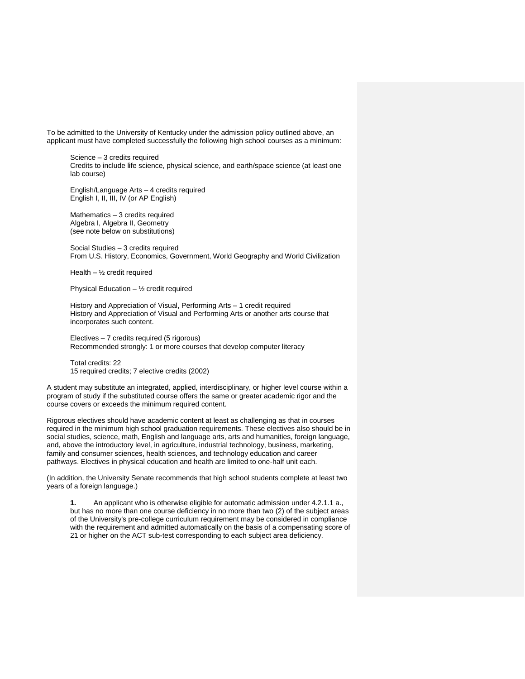To be admitted to the University of Kentucky under the admission policy outlined above, an applicant must have completed successfully the following high school courses as a minimum:

Science – 3 credits required Credits to include life science, physical science, and earth/space science (at least one lab course)

English/Language Arts – 4 credits required English I, II, III, IV (or AP English)

Mathematics – 3 credits required Algebra I, Algebra II, Geometry (see note below on substitutions)

Social Studies – 3 credits required From U.S. History, Economics, Government, World Geography and World Civilization

Health  $-$  1/<sub>2</sub> credit required

Physical Education – ½ credit required

History and Appreciation of Visual, Performing Arts – 1 credit required History and Appreciation of Visual and Performing Arts or another arts course that incorporates such content.

Electives – 7 credits required (5 rigorous) Recommended strongly: 1 or more courses that develop computer literacy

Total credits: 22 15 required credits; 7 elective credits (2002)

A student may substitute an integrated, applied, interdisciplinary, or higher level course within a program of study if the substituted course offers the same or greater academic rigor and the course covers or exceeds the minimum required content.

Rigorous electives should have academic content at least as challenging as that in courses required in the minimum high school graduation requirements. These electives also should be in social studies, science, math, English and language arts, arts and humanities, foreign language, and, above the introductory level, in agriculture, industrial technology, business, marketing, family and consumer sciences, health sciences, and technology education and career pathways. Electives in physical education and health are limited to one-half unit each.

(In addition, the University Senate recommends that high school students complete at least two years of a foreign language.)

**1.** An applicant who is otherwise eligible for automatic admission under 4.2.1.1 a., but has no more than one course deficiency in no more than two (2) of the subject areas of the University's pre-college curriculum requirement may be considered in compliance with the requirement and admitted automatically on the basis of a compensating score of 21 or higher on the ACT sub-test corresponding to each subject area deficiency.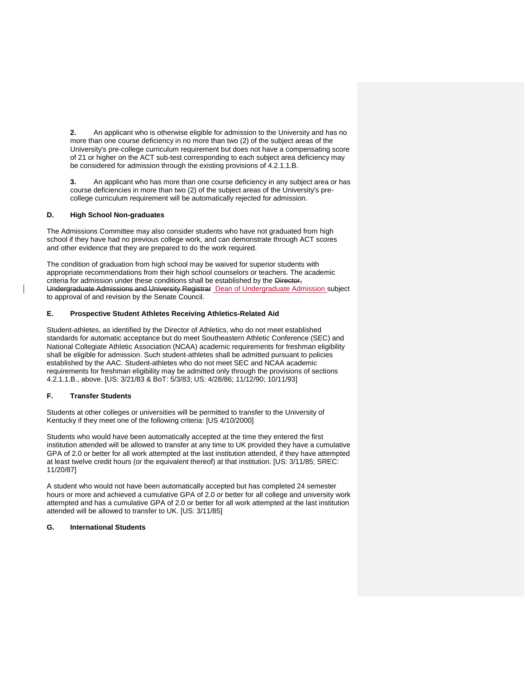**2.** An applicant who is otherwise eligible for admission to the University and has no more than one course deficiency in no more than two (2) of the subject areas of the University's pre-college curriculum requirement but does not have a compensating score of 21 or higher on the ACT sub-test corresponding to each subject area deficiency may be considered for admission through the existing provisions of 4.2.1.1.B.

**3.** An applicant who has more than one course deficiency in any subject area or has course deficiencies in more than two (2) of the subject areas of the University's precollege curriculum requirement will be automatically rejected for admission.

#### **D. High School Non-graduates**

The Admissions Committee may also consider students who have not graduated from high school if they have had no previous college work, and can demonstrate through ACT scores and other evidence that they are prepared to do the work required.

The condition of graduation from high school may be waived for superior students with appropriate recommendations from their high school counselors or teachers. The academic criteria for admission under these conditions shall be established by the Director, Undergraduate Admissions and University Registrar Dean of Undergraduate Admission subject to approval of and revision by the Senate Council.

#### **E. Prospective Student Athletes Receiving Athletics-Related Aid**

Student-athletes, as identified by the Director of Athletics, who do not meet established standards for automatic acceptance but do meet Southeastern Athletic Conference (SEC) and National Collegiate Athletic Association (NCAA) academic requirements for freshman eligibility shall be eligible for admission. Such student-athletes shall be admitted pursuant to policies established by the AAC. Student-athletes who do not meet SEC and NCAA academic requirements for freshman eligibility may be admitted only through the provisions of sections 4.2.1.1.B., above. [US: 3/21/83 & BoT: 5/3/83; US: 4/28/86; 11/12/90; 10/11/93]

#### **F. Transfer Students**

Students at other colleges or universities will be permitted to transfer to the University of Kentucky if they meet one of the following criteria: [US 4/10/2000]

Students who would have been automatically accepted at the time they entered the first institution attended will be allowed to transfer at any time to UK provided they have a cumulative GPA of 2.0 or better for all work attempted at the last institution attended, if they have attempted at least twelve credit hours (or the equivalent thereof) at that institution. [US: 3/11/85; SREC: 11/20/87]

A student who would not have been automatically accepted but has completed 24 semester hours or more and achieved a cumulative GPA of 2.0 or better for all college and university work attempted and has a cumulative GPA of 2.0 or better for all work attempted at the last institution attended will be allowed to transfer to UK. [US: 3/11/85]

### **G. International Students**